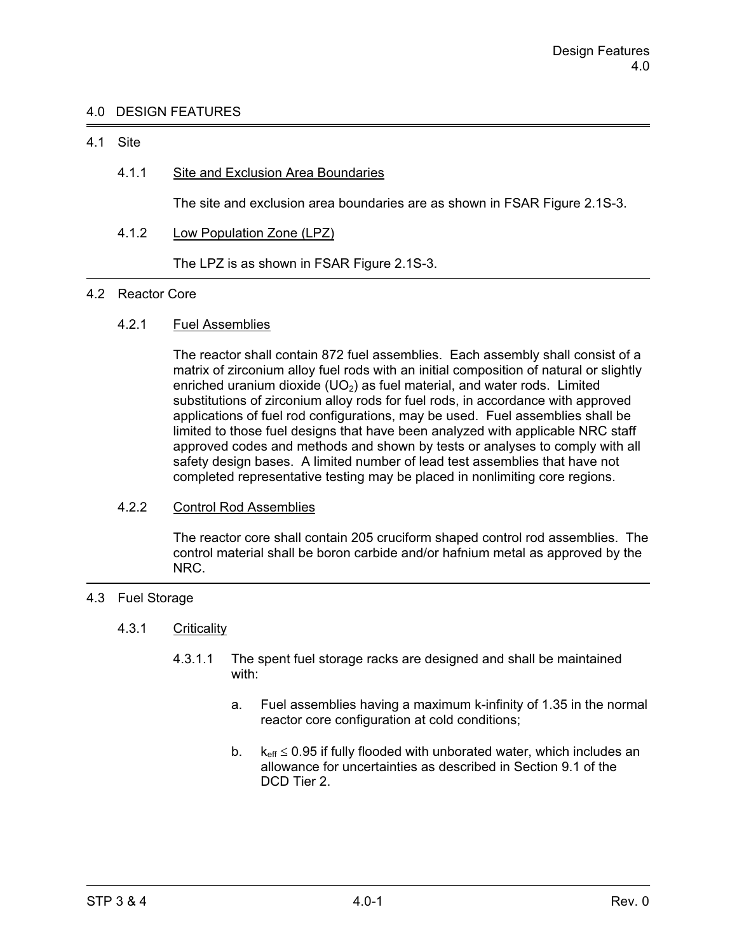# 4.0 DESIGN FEATURES

## 4.1 Site

# 4.1.1 Site and Exclusion Area Boundaries

The site and exclusion area boundaries are as shown in FSAR Figure 2.1S-3.

4.1.2 Low Population Zone (LPZ)

The LPZ is as shown in FSAR Figure 2.1S-3.

### 4.2 Reactor Core

# 4.2.1 Fuel Assemblies

 The reactor shall contain 872 fuel assemblies. Each assembly shall consist of a matrix of zirconium alloy fuel rods with an initial composition of natural or slightly enriched uranium dioxide  $(UD<sub>2</sub>)$  as fuel material, and water rods. Limited substitutions of zirconium alloy rods for fuel rods, in accordance with approved applications of fuel rod configurations, may be used. Fuel assemblies shall be limited to those fuel designs that have been analyzed with applicable NRC staff approved codes and methods and shown by tests or analyses to comply with all safety design bases. A limited number of lead test assemblies that have not completed representative testing may be placed in nonlimiting core regions.

### 4.2.2 Control Rod Assemblies

 The reactor core shall contain 205 cruciform shaped control rod assemblies. The control material shall be boron carbide and/or hafnium metal as approved by the NRC.

# 4.3 Fuel Storage

## 4.3.1 Criticality

- 4.3.1.1 The spent fuel storage racks are designed and shall be maintained with:
	- a. Fuel assemblies having a maximum k-infinity of 1.35 in the normal reactor core configuration at cold conditions;
- b.  $k_{\text{eff}} \leq$  $k_{\text{eff}} \leq 0.95$  if fully flooded with unborated water, which includes an allowance for uncertainties as described in Section 9.1 of the DCD Tier 2.